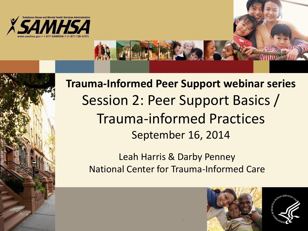

**Trauma-Informed Peer Support webinar series** Session 2: Peer Support Basics / Trauma-informed Practices September 16, 2014

> Leah Harris & Darby Penney National Center for Trauma-Informed Care



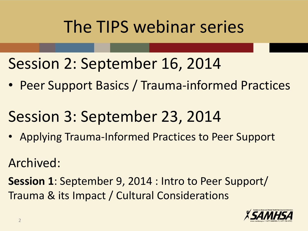## The TIPS webinar series

Session 2: September 16, 2014

• Peer Support Basics / Trauma-informed Practices

## Session 3: September 23, 2014

• Applying Trauma-Informed Practices to Peer Support

Archived:

**Session 1**: September 9, 2014 : Intro to Peer Support/ Trauma & its Impact / Cultural Considerations

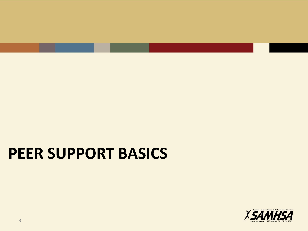## **PEER SUPPORT BASICS**

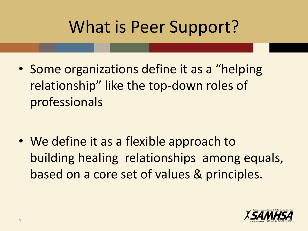## What is Peer Support?

• Some organizations define it as a "helping" relationship" like the top-down roles of professionals

• We define it as a flexible approach to building healing relationships among equals, based on a core set of values & principles.

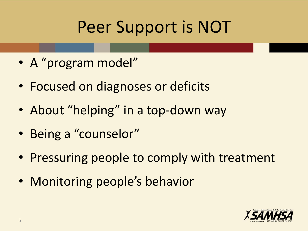## Peer Support is NOT

- A "program model"
- Focused on diagnoses or deficits
- About "helping" in a top-down way
- Being a "counselor"
- Pressuring people to comply with treatment
- Monitoring people's behavior

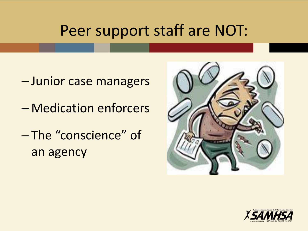### Peer support staff are NOT:

- Junior case managers
- Medication enforcers
- The "conscience" of an agency



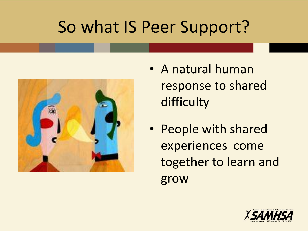## So what IS Peer Support?



- A natural human response to shared difficulty
- People with shared experiences come together to learn and grow

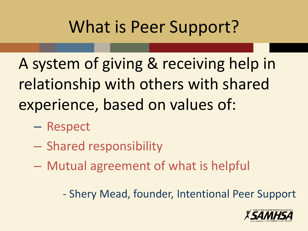## What is Peer Support?

A system of giving & receiving help in relationship with others with shared experience, based on values of:

- Respect
- Shared responsibility
- Mutual agreement of what is helpful

- Shery Mead, founder, Intentional Peer Support

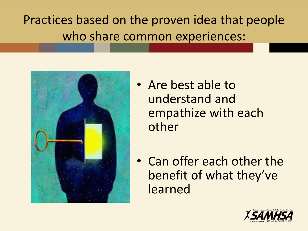#### Practices based on the proven idea that people who share common experiences:



- Are best able to understand and empathize with each other
- Can offer each other the benefit of what they've learned

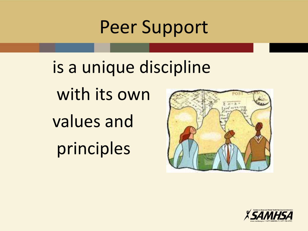## Peer Support

is a unique discipline with its own values and principles



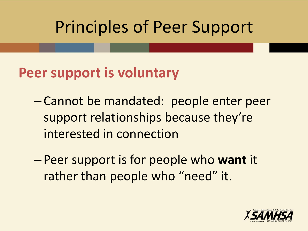#### **Peer support is voluntary**

- Cannot be mandated: people enter peer support relationships because they're interested in connection
- Peer support is for people who **want** it rather than people who "need" it.

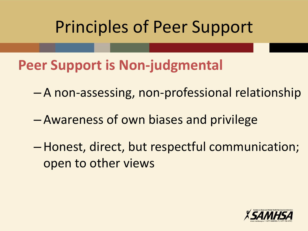**Peer Support is Non-judgmental**

- A non-assessing, non-professional relationship
- Awareness of own biases and privilege
- –Honest, direct, but respectful communication; open to other views

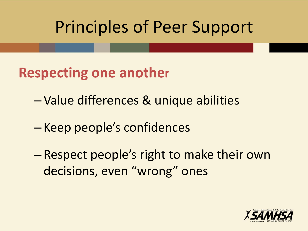- **Respecting one another**
	- Value differences & unique abilities
	- Keep people's confidences
	- Respect people's right to make their own decisions, even "wrong" ones

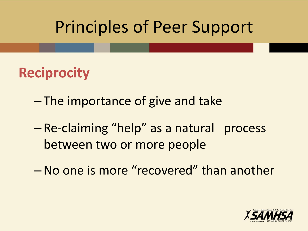#### **Reciprocity**

- The importance of give and take
- Re-claiming "help" as a natural process between two or more people
- –No one is more "recovered" than another

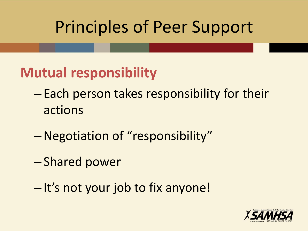#### **Mutual responsibility**

- Each person takes responsibility for their actions
- –Negotiation of "responsibility"
- Shared power
- It's not your job to fix anyone!

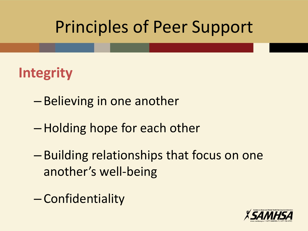### **Integrity**

- Believing in one another
- –Holding hope for each other
- Building relationships that focus on one another's well-being
- Confidentiality

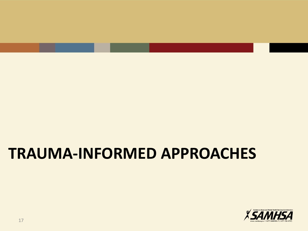## **TRAUMA-INFORMED APPROACHES**

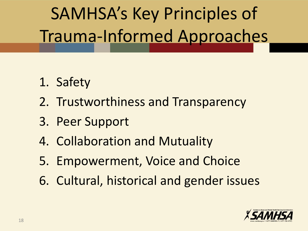# SAMHSA's Key Principles of Trauma-Informed Approaches

- 1. Safety
- 2. Trustworthiness and Transparency
- 3. Peer Support
- 4. Collaboration and Mutuality
- 5. Empowerment, Voice and Choice
- 6. Cultural, historical and gender issues

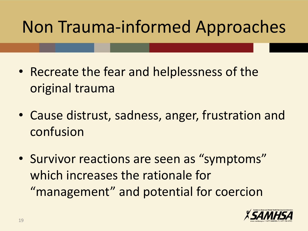## Non Trauma-informed Approaches

- Recreate the fear and helplessness of the original trauma
- Cause distrust, sadness, anger, frustration and confusion
- Survivor reactions are seen as "symptoms" which increases the rationale for "management" and potential for coercion

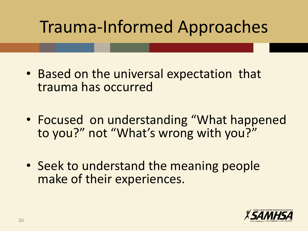## Trauma-Informed Approaches

- Based on the universal expectation that trauma has occurred
- Focused on understanding "What happened to you?" not "What's wrong with you?"
- Seek to understand the meaning people make of their experiences.

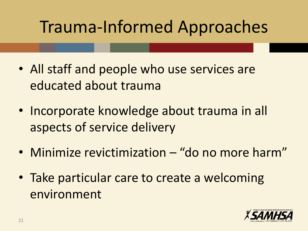## Trauma-Informed Approaches

- All staff and people who use services are educated about trauma
- Incorporate knowledge about trauma in all aspects of service delivery
- Minimize revictimization "do no more harm"
- Take particular care to create a welcoming environment

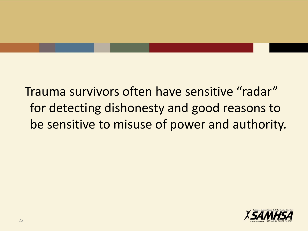Trauma survivors often have sensitive "radar" for detecting dishonesty and good reasons to be sensitive to misuse of power and authority.

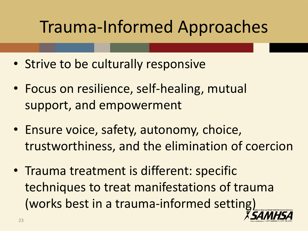## Trauma-Informed Approaches

- Strive to be culturally responsive
- Focus on resilience, self-healing, mutual support, and empowerment
- Ensure voice, safety, autonomy, choice, trustworthiness, and the elimination of coercion
- Trauma treatment is different: specific techniques to treat manifestations of trauma (works best in a trauma-informed setting)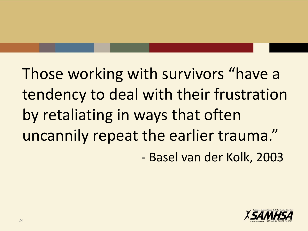Those working with survivors "have a tendency to deal with their frustration by retaliating in ways that often uncannily repeat the earlier trauma." - Basel van der Kolk, 2003

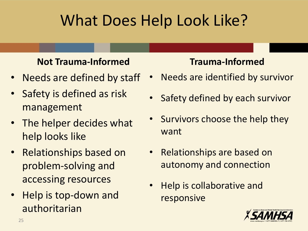## What Does Help Look Like?

#### **Not Trauma-Informed Trauma-Informed**

- Needs are defined by staff
- Safety is defined as risk management
- The helper decides what help looks like
- Relationships based on problem-solving and accessing resources
- Help is top-down and authoritarian

- Needs are identified by survivor
- Safety defined by each survivor
- Survivors choose the help they want
- Relationships are based on autonomy and connection
- Help is collaborative and responsive